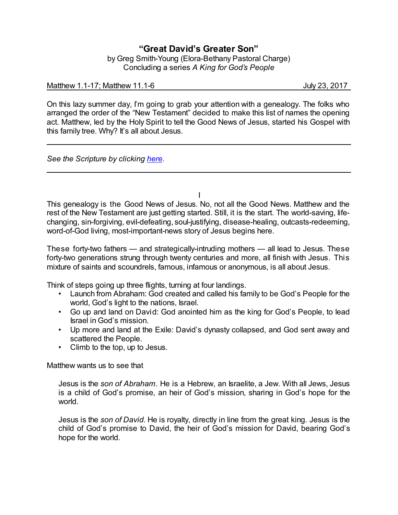## **"Great David's Greater Son"**

by Greg Smith-Young (Elora-Bethany Pastoral Charge) Concluding a series *A King for God's People*

## Matthew 1.1-17; Matthew 11.1-6 July 23, 2017

On this lazy summer day, I'm going to grab your attention with a genealogy. The folks who arranged the order of the "New Testament" decided to make this list of names the opening act. Matthew, led by the Holy Spirit to tell the Good News of Jesus, started his Gospel with this family tree. Why? It's all about Jesus.

*See the Scripture by clicking [here](https://www.biblegateway.com/passage/?search=Matthew+1.1-17&version=NRSVA).*

This genealogy is the Good News of Jesus. No, not all the Good News. Matthew and the rest of the New Testament are just getting started. Still, it is the start. The world-saving, lifechanging, sin-forgiving, evil-defeating, soul-justifying, disease-healing, outcasts-redeeming, word-of-God living, most-important-news story of Jesus begins here.

These forty-two fathers — and strategically-intruding mothers — all lead to Jesus. These forty-two generations strung through twenty centuries and more, all finish with Jesus. This mixture of saints and scoundrels, famous, infamous or anonymous, is all about Jesus.

Think of steps going up three flights, turning at four landings.

- Launch from Abraham: God created and called his family to be God's People for the world, God's light to the nations, Israel.
- Go up and land on David: God anointed him as the king for God's People, to lead Israel in God's mission.
- Up more and land at the Exile: David's dynasty collapsed, and God sent away and scattered the People.
- Climb to the top, up to Jesus.

Matthew wants us to see that

Jesus is the *son of Abraham.* He is a Hebrew, an Israelite, a Jew. With all Jews, Jesus is a child of God's promise, an heir of God's mission, sharing in God's hope for the world.

Jesus is the *son of David.* He is royalty, directly in line from the great king. Jesus is the child of God's promise to David, the heir of God's mission for David, bearing God's hope for the world.

I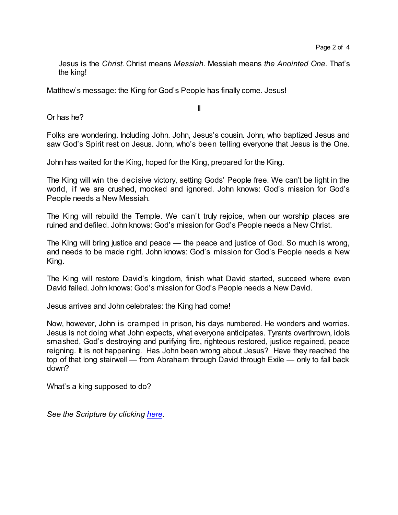Jesus is the *Christ*. Christ means *Messiah*. Messiah means *the Anointed One*. That's the king!

Matthew's message: the King for God's People has finally come. Jesus!

Or has he?

II

Folks are wondering. Including John. John, Jesus's cousin. John, who baptized Jesus and saw God's Spirit rest on Jesus. John, who's been telling everyone that Jesus is the One.

John has waited for the King, hoped for the King, prepared for the King.

The King will win the decisive victory, setting Gods' People free. We can't be light in the world, if we are crushed, mocked and ignored. John knows: God's mission for God's People needs a New Messiah.

The King will rebuild the Temple. We can't truly rejoice, when our worship places are ruined and defiled. John knows: God's mission for God's People needs a New Christ.

The King will bring justice and peace — the peace and justice of God. So much is wrong, and needs to be made right. John knows: God's mission for God's People needs a New King.

The King will restore David's kingdom, finish what David started, succeed where even David failed. John knows: God's mission for God's People needs a New David.

Jesus arrives and John celebrates: the King had come!

Now, however, John is cramped in prison, his days numbered. He wonders and worries. Jesus is not doing what John expects, what everyone anticipates. Tyrants overthrown, idols smashed, God's destroying and purifying fire, righteous restored, justice regained, peace reigning. It is not happening. Has John been wrong about Jesus? Have they reached the top of that long stairwell — from Abraham through David through Exile — only to fall back down?

What's a king supposed to do?

*See the Scripture by clicking [here](https://www.biblegateway.com/passage/?search=Matthew+11.1-6&version=NRSVA).*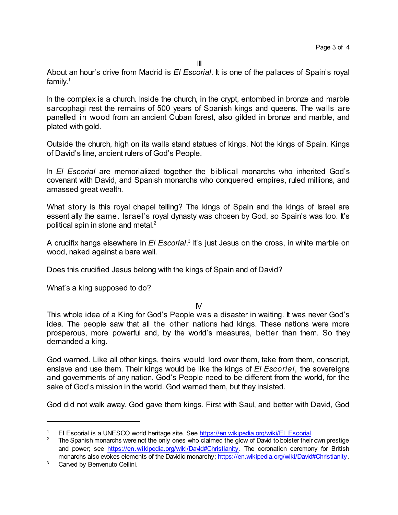III

About an hour's drive from Madrid is *El Escorial*. It is one of the palaces of Spain's royal family. 1

In the complex is a church. Inside the church, in the crypt, entombed in bronze and marble sarcophagi rest the remains of 500 years of Spanish kings and queens. The walls are panelled in wood from an ancient Cuban forest, also gilded in bronze and marble, and plated with gold.

Outside the church, high on its walls stand statues of kings. Not the kings of Spain. Kings of David's line, ancient rulers of God's People.

In *El Escorial* are memorialized together the biblical monarchs who inherited God's covenant with David, and Spanish monarchs who conquered empires, ruled millions, and amassed great wealth.

What story is this royal chapel telling? The kings of Spain and the kings of Israel are essentially the same. Israel's royal dynasty was chosen by God, so Spain's was too. It's political spin in stone and metal. $^2$ 

A crucifix hangs elsewhere in *El Escorial*.<sup>3</sup> It's just Jesus on the cross, in white marble on wood, naked against a bare wall.

Does this crucified Jesus belong with the kings of Spain and of David?

What's a king supposed to do?

 $\mathsf{N}$ 

This whole idea of a King for God's People was a disaster in waiting. It was never God's idea. The people saw that all the other nations had kings. These nations were more prosperous, more powerful and, by the world's measures, better than them. So they demanded a king.

God warned. Like all other kings, theirs would lord over them, take from them, conscript, enslave and use them. Their kings would be like the kings of *El Escorial*, the sovereigns and governments of any nation. God's People need to be different from the world, for the sake of God's mission in the world. God warned them, but they insisted.

God did not walk away. God gave them kings. First with Saul, and better with David, God

El Escorial is a UNESCO world heritage site. See [https://en.wikipedia.org/wiki/El\\_Escorial](https://en.wikipedia.org/wiki/El_Escorial).

The Spanish monarchs were not the only ones who claimed the glow of David to bolster their own prestige and power; see <https://en.wikipedia.org/wiki/David#Christianity>. The coronation ceremony for British monarchs also evokes elements of the Davidic monarchy; <https://en.wikipedia.org/wiki/David#Christianity>.

<sup>&</sup>lt;sup>3</sup> Carved by Benvenuto Cellini.